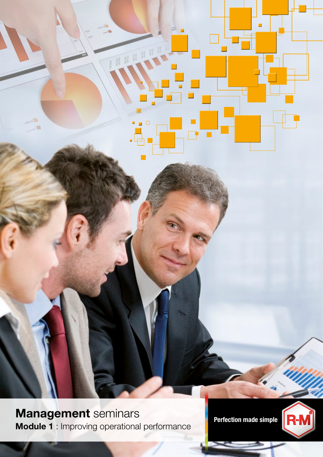Management seminars<br>Perfection made simple Module 1 : Improving operational performance

÷,

п

 $\Box$ 

e